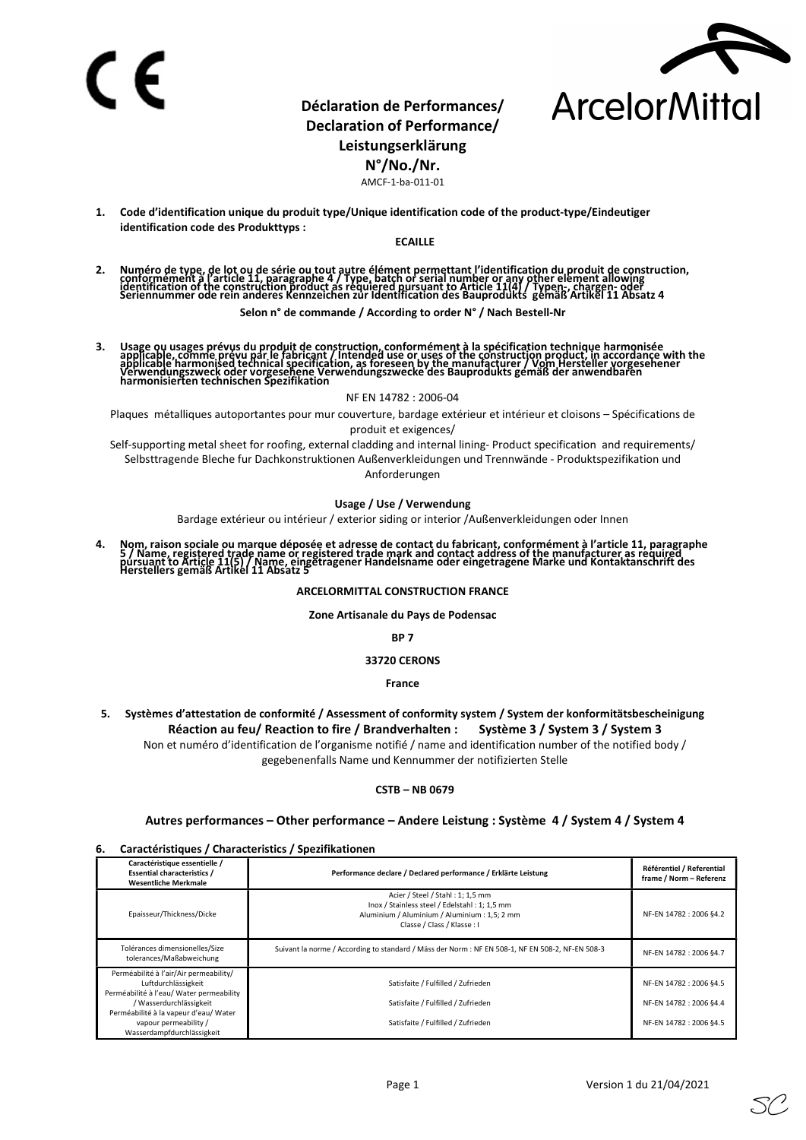

# Déclaration de Performances/ Declaration of Performance/ Leistungserklärung

N°/No./Nr.

AMCF-1-ba-011-01

1. Code d'identification unique du produit type/Unique identification code of the product-type/Eindeutiger identification code des Produkttyps :

#### ECAILLE

2. Numéro de type, de lot ou de série ou tout autre élément permettant l'identification du produit de construction,<br>conformément à l'article 11, paragraphe 4 / Type, batch or serial number or any other element allowing<br>ide

Selon n° de commande / According to order N° / Nach Bestell-Nr

3. Usage ou usages prévus du produit de construction, conformément à la spécification technique harmonisée<br>applicable, comme prévu par le fabricant / Intended use or uses of the construction product, in accordance with the applicanie harmoniseu technical specification, as foreseen by the manufacturer 7 vorh hersteller vorges<br>Verwendungszweck oder vorgesehene Verwendungszwecke des Bauprodukts gemäß der anwendbaren<br>harmonisierten technischen S

NF EN 14782 : 2006-04

Plaques métalliques autoportantes pour mur couverture, bardage extérieur et intérieur et cloisons – Spécifications de produit et exigences/

Self-supporting metal sheet for roofing, external cladding and internal lining- Product specification and requirements/ Selbsttragende Bleche fur Dachkonstruktionen Außenverkleidungen und Trennwände - Produktspezifikation und Anforderungen

#### Usage / Use / Verwendung

Bardage extérieur ou intérieur / exterior siding or interior /Außenverkleidungen oder Innen

4. Nom, raison sociale ou marque déposée et adresse de contact du fabricant, conformément à l'article 11, paragraphe<br>5 / Name, registered trade name or registered trade mark and contact address of the manufacturer as requi

#### ARCELORMITTAL CONSTRUCTION FRANCE

Zone Artisanale du Pays de Podensac

BP 7

#### 33720 CERONS

France

5. Systèmes d'attestation de conformité / Assessment of conformity system / System der konformitätsbescheinigung Réaction au feu/ Reaction to fire / Brandverhalten : Système 3 / System 3 / System 3 Non et numéro d'identification de l'organisme notifié / name and identification number of the notified body / gegebenenfalls Name und Kennummer der notifizierten Stelle

#### CSTB – NB 0679

## Autres performances – Other performance – Andere Leistung : Système 4 / System 4 / System 4

### 6. Caractéristiques / Characteristics / Spezifikationen

| Performance declare / Declared performance / Erklärte Leistung                                                                                                   | Référentiel / Referential<br>frame / Norm - Referenz                          |  |
|------------------------------------------------------------------------------------------------------------------------------------------------------------------|-------------------------------------------------------------------------------|--|
| Acier / Steel / Stahl: 1; 1,5 mm<br>Inox / Stainless steel / Edelstahl: 1: 1.5 mm<br>Aluminium / Aluminium / Aluminium : 1,5; 2 mm<br>Classe / Class / Klasse: I | NF-EN 14782 : 2006 §4.2                                                       |  |
| Suivant la norme / According to standard / Mäss der Norm : NF EN 508-1, NF EN 508-2, NF-EN 508-3                                                                 | NF-EN 14782 : 2006 §4.7                                                       |  |
| Satisfaite / Fulfilled / Zufrieden<br>Satisfaite / Fulfilled / Zufrieden<br>Satisfaite / Fulfilled / Zufrieden                                                   | NF-EN 14782 : 2006 §4.5<br>NF-EN 14782 : 2006 §4.4<br>NF-EN 14782 : 2006 §4.5 |  |
|                                                                                                                                                                  |                                                                               |  |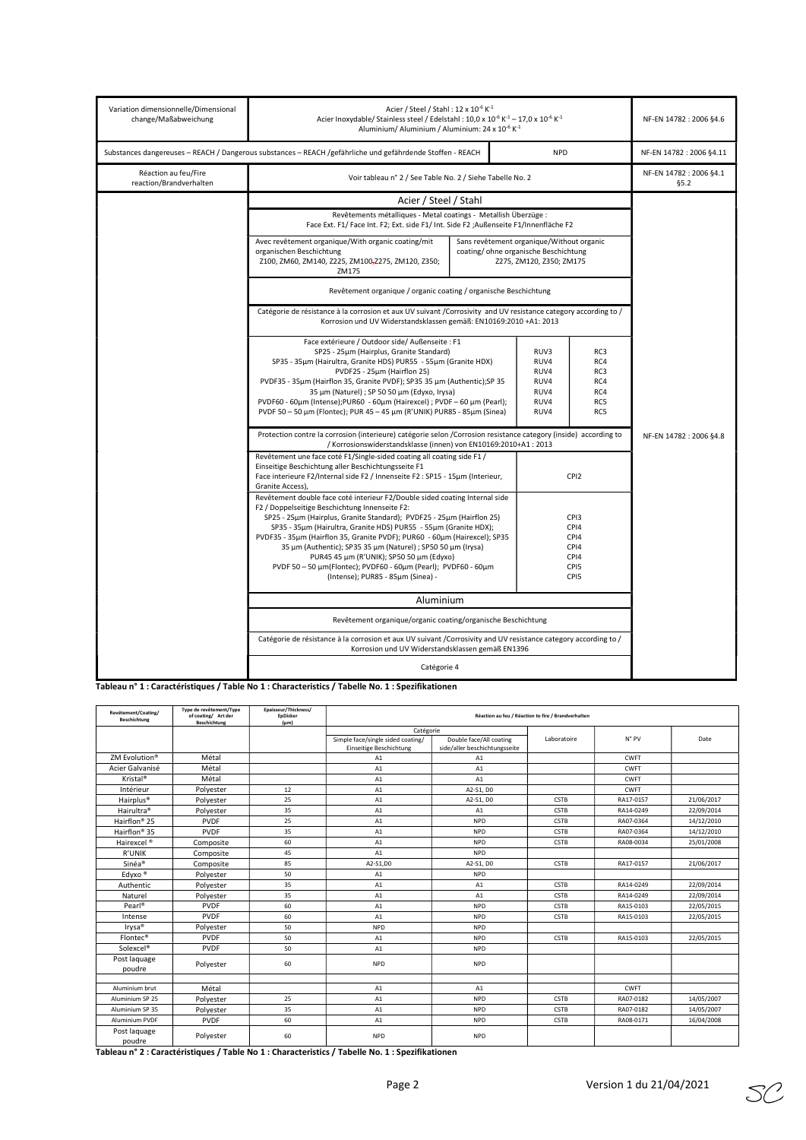| Variation dimensionnelle/Dimensional<br>change/Maßabweichung                                               | Acier / Steel / Stahl: $12 \times 10^{-6}$ K <sup>-1</sup><br>Acier Inoxydable/ Stainless steel / Edelstahl: $10.0 \times 10^{-6}$ K <sup>-1</sup> – $17.0 \times 10^{-6}$ K <sup>-1</sup><br>Aluminium/Aluminium / Aluminium: 24 x 10 <sup>-6</sup> K <sup>-1</sup>                                                                                                                                                                                                                                                                                                       | NF-EN 14782 : 2006 §4.6         |                                                      |                                                                  |  |  |
|------------------------------------------------------------------------------------------------------------|----------------------------------------------------------------------------------------------------------------------------------------------------------------------------------------------------------------------------------------------------------------------------------------------------------------------------------------------------------------------------------------------------------------------------------------------------------------------------------------------------------------------------------------------------------------------------|---------------------------------|------------------------------------------------------|------------------------------------------------------------------|--|--|
| Substances dangereuses - REACH / Dangerous substances - REACH /gefährliche und gefährdende Stoffen - REACH | <b>NPD</b>                                                                                                                                                                                                                                                                                                                                                                                                                                                                                                                                                                 | NF-EN 14782 : 2006 §4.11        |                                                      |                                                                  |  |  |
| Réaction au feu/Fire<br>reaction/Brandverhalten                                                            | Voir tableau n° 2 / See Table No. 2 / Siehe Tabelle No. 2                                                                                                                                                                                                                                                                                                                                                                                                                                                                                                                  | NF-EN 14782 : 2006 §4.1<br>65.2 |                                                      |                                                                  |  |  |
|                                                                                                            | Acier / Steel / Stahl                                                                                                                                                                                                                                                                                                                                                                                                                                                                                                                                                      |                                 |                                                      |                                                                  |  |  |
|                                                                                                            | Revêtements métalliques - Metal coatings - Metallish Überzüge :<br>Face Ext. F1/ Face Int. F2; Ext. side F1/ Int. Side F2 ;Außenseite F1/Innenfläche F2                                                                                                                                                                                                                                                                                                                                                                                                                    |                                 |                                                      |                                                                  |  |  |
|                                                                                                            | Avec revêtement organique/With organic coating/mit<br>Sans revêtement organique/Without organic<br>organischen Beschichtung<br>coating/ohne organische Beschichtung<br>Z100, ZM60, ZM140, Z225, ZM100-Z275, ZM120, Z350;<br>ZM175                                                                                                                                                                                                                                                                                                                                          |                                 |                                                      |                                                                  |  |  |
|                                                                                                            | Revêtement organique / organic coating / organische Beschichtung                                                                                                                                                                                                                                                                                                                                                                                                                                                                                                           |                                 |                                                      |                                                                  |  |  |
|                                                                                                            | Catégorie de résistance à la corrosion et aux UV suivant /Corrosivity and UV resistance category according to /<br>Korrosion und UV Widerstandsklassen gemäß: EN10169:2010 +A1: 2013                                                                                                                                                                                                                                                                                                                                                                                       |                                 |                                                      |                                                                  |  |  |
|                                                                                                            | Face extérieure / Outdoor side/ Außenseite : F1<br>SP25 - 25um (Hairplus, Granite Standard)<br>SP35 - 35µm (Hairultra, Granite HDS) PUR55 - 55µm (Granite HDX)<br>PVDF25 - 25um (Hairflon 25)<br>PVDF35 - 35µm (Hairflon 35, Granite PVDF); SP35 35 µm (Authentic); SP 35<br>35 µm (Naturel) ; SP 50 50 µm (Edyxo, Irysa)<br>PVDF60 - 60um (Intense);PUR60 - 60um (Hairexcel) ; PVDF - 60 um (Pearl);<br>PVDF 50 - 50 μm (Flontec); PUR 45 - 45 μm (R'UNIK) PUR85 - 85μm (Sinea)                                                                                           |                                 | RUV3<br>RUV4<br>RUV4<br>RUV4<br>RUV4<br>RUV4<br>RUV4 | RC3<br>RC4<br>RC3<br>RC4<br>RC4<br>RC5<br>RC5                    |  |  |
|                                                                                                            | Protection contre la corrosion (interieure) catégorie selon /Corrosion resistance category (inside) according to<br>/ Korrosionswiderstandsklasse (innen) von EN10169:2010+A1: 2013                                                                                                                                                                                                                                                                                                                                                                                        | NF-EN 14782 : 2006 §4.8         |                                                      |                                                                  |  |  |
|                                                                                                            | Revêtement une face coté F1/Single-sided coating all coating side F1 /<br>Einseitige Beschichtung aller Beschichtungsseite F1<br>Face interieure F2/Internal side F2 / Innenseite F2 : SP15 - 15um (Interieur,<br>Granite Access),                                                                                                                                                                                                                                                                                                                                         |                                 |                                                      | CPI <sub>2</sub>                                                 |  |  |
|                                                                                                            | Revêtement double face coté interieur F2/Double sided coating Internal side<br>F2 / Doppelseitige Beschichtung Innenseite F2:<br>SP25 - 25µm (Hairplus, Granite Standard); PVDF25 - 25µm (Hairflon 25)<br>SP35 - 35um (Hairultra, Granite HDS) PUR55 - 55um (Granite HDX);<br>PVDF35 - 35µm (Hairflon 35, Granite PVDF); PUR60 - 60µm (Hairexcel); SP35<br>35 µm (Authentic); SP35 35 µm (Naturel) ; SP50 50 µm (Irysa)<br>PUR45 45 μm (R'UNIK); SP50 50 μm (Edyxo)<br>PVDF 50 - 50 μm(Flontec); PVDF60 - 60μm (Pearl); PVDF60 - 60μm<br>(Intense); PUR85 - 85µm (Sinea) - |                                 |                                                      | CP <sub>13</sub><br>CPI4<br>CPI4<br>CPI4<br>CPI4<br>CPI5<br>CPI5 |  |  |
|                                                                                                            | Aluminium                                                                                                                                                                                                                                                                                                                                                                                                                                                                                                                                                                  |                                 |                                                      |                                                                  |  |  |
| Revêtement organique/organic coating/organische Beschichtung                                               |                                                                                                                                                                                                                                                                                                                                                                                                                                                                                                                                                                            |                                 |                                                      |                                                                  |  |  |
|                                                                                                            | Catégorie de résistance à la corrosion et aux UV suivant /Corrosivity and UV resistance category according to /<br>Korrosion und UV Widerstandsklassen gemäß EN1396                                                                                                                                                                                                                                                                                                                                                                                                        |                                 |                                                      |                                                                  |  |  |
|                                                                                                            |                                                                                                                                                                                                                                                                                                                                                                                                                                                                                                                                                                            |                                 |                                                      |                                                                  |  |  |

Tableau n° 1 : Caractéristiques / Table No 1 : Characteristics / Tabelle No. 1 : Spezifikationen

| Revëtement/Coating/<br><b>Beschichtung</b> | Type de revêtement/Type<br>of coating/ Art der<br><b>Beschichtung</b> | Epaisseur/Thickness/<br><b>EpDicker</b><br>$(\mu m)$ | Réaction au feu / Réaction to fire / Brandverhalten          |                                                          |             |             |            |
|--------------------------------------------|-----------------------------------------------------------------------|------------------------------------------------------|--------------------------------------------------------------|----------------------------------------------------------|-------------|-------------|------------|
|                                            |                                                                       |                                                      | Catégorie                                                    |                                                          |             |             |            |
|                                            |                                                                       |                                                      | Simple face/single sided coating/<br>Einseitige Beschichtung | Double face/All coating<br>side/aller beschichtungsseite | Laboratoire | N° PV       | Date       |
| ZM Evolution®                              | Métal                                                                 |                                                      | A1                                                           | A1                                                       |             | CWFT        |            |
| Acier Galvanisé                            | Métal                                                                 |                                                      | A1                                                           | A1                                                       |             | CWFT        |            |
| Kristal <sup>®</sup>                       | Métal                                                                 |                                                      | A1                                                           | A1                                                       |             | CWFT        |            |
| Intérieur                                  | Polyester                                                             | 12                                                   | A1                                                           | A2-S1, D0                                                |             | <b>CWFT</b> |            |
| Hairplus <sup>®</sup>                      | Polyester                                                             | 25                                                   | A1                                                           | A2-S1, D0                                                | CSTB        | RA17-0157   | 21/06/2017 |
| Hairultra <sup>®</sup>                     | Polyester                                                             | 35                                                   | A1                                                           | A1                                                       | <b>CSTB</b> | RA14-0249   | 22/09/2014 |
| Hairflon <sup>®</sup> 25                   | <b>PVDF</b>                                                           | 25                                                   | A1                                                           | <b>NPD</b>                                               | CSTB        | RA07-0364   | 14/12/2010 |
| Hairflon® 35                               | <b>PVDF</b>                                                           | 35                                                   | A1                                                           | <b>NPD</b>                                               | CSTB        | RA07-0364   | 14/12/2010 |
| Hairexcel <sup>®</sup>                     | Composite                                                             | 60                                                   | A1                                                           | <b>NPD</b>                                               | CSTB        | RA08-0034   | 25/01/2008 |
| R'UNIK                                     | Composite                                                             | 45                                                   | A1                                                           | <b>NPD</b>                                               |             |             |            |
| Sinéa®                                     | Composite                                                             | 85                                                   | A2-S1,D0                                                     | A2-S1, D0                                                | CSTB        | RA17-0157   | 21/06/2017 |
| Edyxo <sup>®</sup>                         | Polyester                                                             | 50                                                   | A1                                                           | <b>NPD</b>                                               |             |             |            |
| Authentic                                  | Polyester                                                             | 35                                                   | A1                                                           | A1                                                       | <b>CSTB</b> | RA14-0249   | 22/09/2014 |
| Naturel                                    | Polyester                                                             | 35                                                   | A1                                                           | A1                                                       | CSTB        | RA14-0249   | 22/09/2014 |
| Pearl®                                     | <b>PVDF</b>                                                           | 60                                                   | A1                                                           | <b>NPD</b>                                               | CSTB        | RA15-0103   | 22/05/2015 |
| Intense                                    | <b>PVDF</b>                                                           | 60                                                   | A1                                                           | <b>NPD</b>                                               | CSTB        | RA15-0103   | 22/05/2015 |
| Irysa <sup>®</sup>                         | Polyester                                                             | 50                                                   | <b>NPD</b>                                                   | <b>NPD</b>                                               |             |             |            |
| Flontec®                                   | <b>PVDF</b>                                                           | 50                                                   | A1                                                           | <b>NPD</b>                                               | CSTB        | RA15-0103   | 22/05/2015 |
| Solexcel <sup>®</sup>                      | <b>PVDF</b>                                                           | 50                                                   | A1                                                           | <b>NPD</b>                                               |             |             |            |
| Post laquage<br>poudre                     | Polyester                                                             | 60                                                   | <b>NPD</b>                                                   | <b>NPD</b>                                               |             |             |            |
|                                            |                                                                       |                                                      |                                                              |                                                          |             |             |            |
| Aluminium brut                             | Métal                                                                 |                                                      | A1                                                           | A1                                                       |             | <b>CWFT</b> |            |
| Aluminium SP 25                            | Polyester                                                             | 25                                                   | A1                                                           | <b>NPD</b>                                               | CSTB        | RA07-0182   | 14/05/2007 |
| Aluminium SP 35                            | Polyester                                                             | 35                                                   | A1                                                           | <b>NPD</b>                                               | CSTB        | RA07-0182   | 14/05/2007 |
| Aluminium PVDF                             | <b>PVDF</b>                                                           | 60                                                   | A1                                                           | <b>NPD</b>                                               | CSTB        | RA08-0171   | 16/04/2008 |
| Post laquage<br>poudre                     | Polyester                                                             | 60                                                   | <b>NPD</b>                                                   | <b>NPD</b>                                               |             |             |            |

Tableau n° 2 : Caractéristiques / Table No 1 : Characteristics / Tabelle No. 1 : Spezifikationen

SC